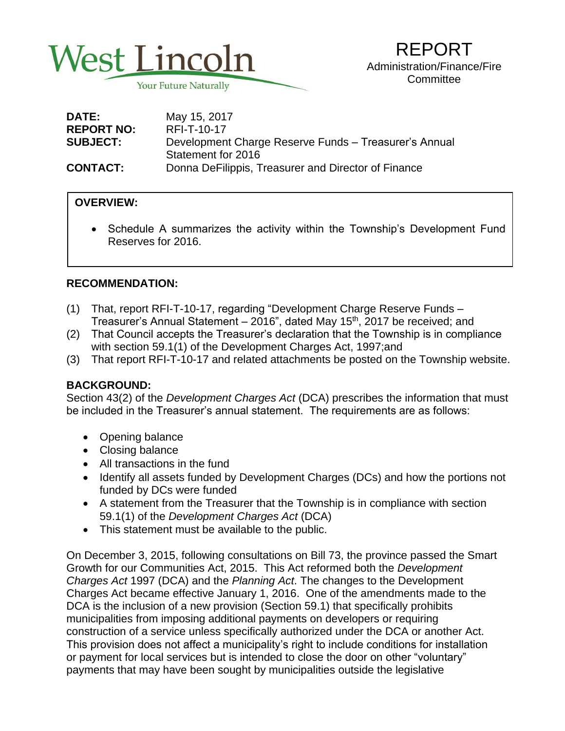

| <b>DATE:</b>      | May 15, 2017                                          |
|-------------------|-------------------------------------------------------|
| <b>REPORT NO:</b> | RFI-T-10-17                                           |
| <b>SUBJECT:</b>   | Development Charge Reserve Funds - Treasurer's Annual |
|                   | Statement for 2016                                    |
| <b>CONTACT:</b>   | Donna DeFilippis, Treasurer and Director of Finance   |

## **OVERVIEW:**

 • Schedule A summarizes the activity within the Township's Development Fund Reserves for 2016.

## **RECOMMENDATION:**

- (1) That, report RFI-T-10-17, regarding "Development Charge Reserve Funds Treasurer's Annual Statement – 2016", dated May 15<sup>th</sup>, 2017 be received; and
- (2) That Council accepts the Treasurer's declaration that the Township is in compliance with section 59.1(1) of the Development Charges Act, 1997;and
- (3) That report RFI-T-10-17 and related attachments be posted on the Township website.

#### **BACKGROUND:**

Section 43(2) of the *Development Charges Act* (DCA) prescribes the information that must be included in the Treasurer's annual statement. The requirements are as follows:

- Opening balance
- Closing balance
- All transactions in the fund
- Identify all assets funded by Development Charges (DCs) and how the portions not funded by DCs were funded
- A statement from the Treasurer that the Township is in compliance with section 59.1(1) of the *Development Charges Act* (DCA)
- This statement must be available to the public.

On December 3, 2015, following consultations on Bill 73, the province passed the Smart Growth for our Communities Act, 2015. This Act reformed both the *Development Charges Act* 1997 (DCA) and the *Planning Act*. The changes to the Development Charges Act became effective January 1, 2016. One of the amendments made to the DCA is the inclusion of a new provision (Section 59.1) that specifically prohibits municipalities from imposing additional payments on developers or requiring construction of a service unless specifically authorized under the DCA or another Act. This provision does not affect a municipality's right to include conditions for installation or payment for local services but is intended to close the door on other "voluntary" payments that may have been sought by municipalities outside the legislative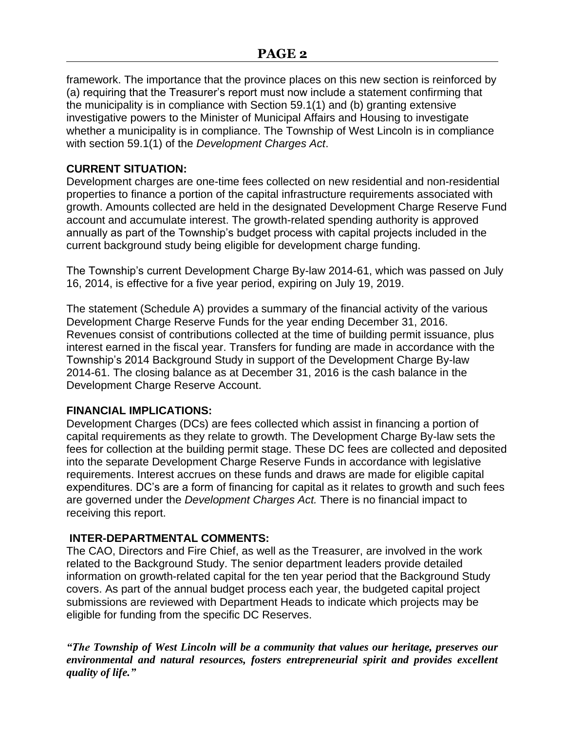framework. The importance that the province places on this new section is reinforced by (a) requiring that the Treasurer's report must now include a statement confirming that the municipality is in compliance with Section 59.1(1) and (b) granting extensive investigative powers to the Minister of Municipal Affairs and Housing to investigate whether a municipality is in compliance. The Township of West Lincoln is in compliance with section 59.1(1) of the *Development Charges Act*.

## **CURRENT SITUATION:**

Development charges are one-time fees collected on new residential and non-residential properties to finance a portion of the capital infrastructure requirements associated with growth. Amounts collected are held in the designated Development Charge Reserve Fund account and accumulate interest. The growth-related spending authority is approved annually as part of the Township's budget process with capital projects included in the current background study being eligible for development charge funding.

The Township's current Development Charge By-law 2014-61, which was passed on July 16, 2014, is effective for a five year period, expiring on July 19, 2019.

The statement (Schedule A) provides a summary of the financial activity of the various Development Charge Reserve Funds for the year ending December 31, 2016. Revenues consist of contributions collected at the time of building permit issuance, plus interest earned in the fiscal year. Transfers for funding are made in accordance with the Township's 2014 Background Study in support of the Development Charge By-law 2014-61. The closing balance as at December 31, 2016 is the cash balance in the Development Charge Reserve Account.

#### **FINANCIAL IMPLICATIONS:**

Development Charges (DCs) are fees collected which assist in financing a portion of capital requirements as they relate to growth. The Development Charge By-law sets the fees for collection at the building permit stage. These DC fees are collected and deposited into the separate Development Charge Reserve Funds in accordance with legislative requirements. Interest accrues on these funds and draws are made for eligible capital expenditures. DC's are a form of financing for capital as it relates to growth and such fees are governed under the *Development Charges Act.* There is no financial impact to receiving this report.

# **INTER-DEPARTMENTAL COMMENTS:**

The CAO, Directors and Fire Chief, as well as the Treasurer, are involved in the work related to the Background Study. The senior department leaders provide detailed information on growth-related capital for the ten year period that the Background Study covers. As part of the annual budget process each year, the budgeted capital project submissions are reviewed with Department Heads to indicate which projects may be eligible for funding from the specific DC Reserves.

*"The Township of West Lincoln will be a community that values our heritage, preserves our environmental and natural resources, fosters entrepreneurial spirit and provides excellent quality of life."*